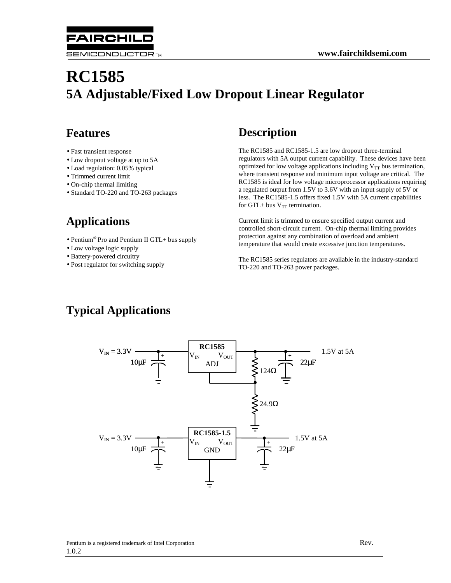

# **RC1585 5A Adjustable/Fixed Low Dropout Linear Regulator**

## **Features**

- Fast transient response
- Low dropout voltage at up to 5A
- Load regulation: 0.05% typical
- Trimmed current limit
- On-chip thermal limiting
- Standard TO-220 and TO-263 packages

## **Applications**

- Pentium<sup>®</sup> Pro and Pentium II GTL+ bus supply
- Low voltage logic supply
- Battery-powered circuitry
- Post regulator for switching supply

## **Description**

The RC1585 and RC1585-1.5 are low dropout three-terminal regulators with 5A output current capability. These devices have been optimized for low voltage applications including  $V_{TT}$  bus termination, where transient response and minimum input voltage are critical. The RC1585 is ideal for low voltage microprocessor applications requiring a regulated output from 1.5V to 3.6V with an input supply of 5V or less. The RC1585-1.5 offers fixed 1.5V with 5A current capabilities for GTL+ bus  $V_{TT}$  termination.

Current limit is trimmed to ensure specified output current and controlled short-circuit current. On-chip thermal limiting provides protection against any combination of overload and ambient temperature that would create excessive junction temperatures.

The RC1585 series regulators are available in the industry-standard TO-220 and TO-263 power packages.

## **Typical Applications**

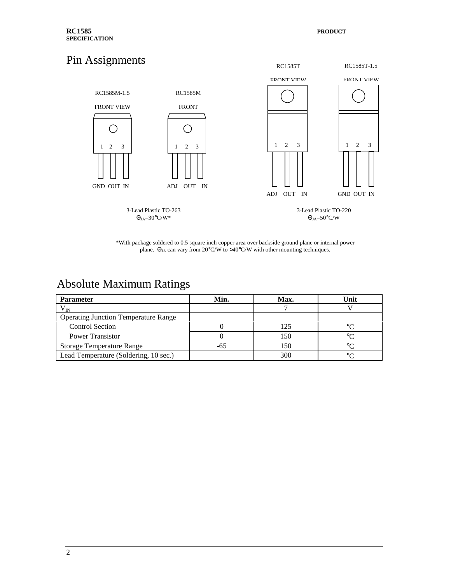## Pin Assignments



\*With package soldered to 0.5 square inch copper area over backside ground plane or internal power plane.  $\Theta_{JA}$  can vary from 20°C/W to >40°C/W with other mounting techniques.

## Absolute Maximum Ratings

| <b>Parameter</b>                            | Min. | Max. | Unit |
|---------------------------------------------|------|------|------|
| $\rm V_{IN}$                                |      |      |      |
| <b>Operating Junction Temperature Range</b> |      |      |      |
| <b>Control Section</b>                      |      | 125  |      |
| <b>Power Transistor</b>                     |      | 150  |      |
| <b>Storage Temperature Range</b>            | -65  | 150  |      |
| Lead Temperature (Soldering, 10 sec.)       |      | 300  |      |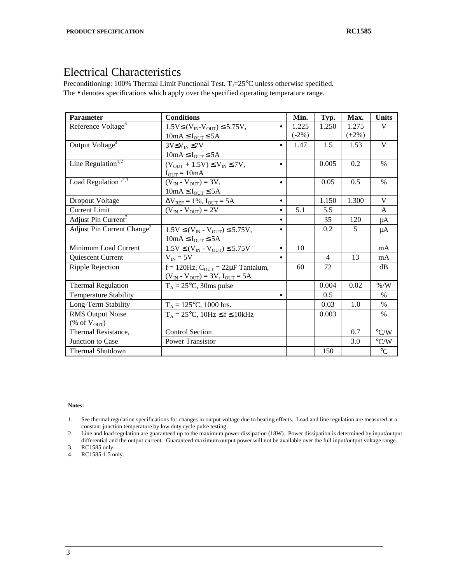### Electrical Characteristics

Preconditioning: 100% Thermal Limit Functional Test.  $T<sub>J</sub>=25°C$  unless otherwise specified. The • denotes specifications which apply over the specified operating temperature range.

| <b>Parameter</b>                       | <b>Conditions</b>                                    |           | Min.    | Typ.           | Max.    | <b>Units</b>       |
|----------------------------------------|------------------------------------------------------|-----------|---------|----------------|---------|--------------------|
| Reference Voltage <sup>3</sup>         | $1.5V \leq (V_{IN} - V_{OUT}) \leq 5.75V$ ,          | $\bullet$ | 1.225   | 1.250          | 1.275   | V                  |
|                                        | $10mA \leq I_{OUT} \leq 5A$                          |           | $(-2%)$ |                | $(+2%)$ |                    |
| Output Voltage <sup>4</sup>            | $3V\leq V_{\text{IN}}\leq 7V$                        | $\bullet$ | 1.47    | 1.5            | 1.53    | V                  |
|                                        | $10mA \leq I_{OUT} \leq 5A$                          |           |         |                |         |                    |
| Line Regulation <sup>1,2</sup>         | $(V_{\text{OUT}} + 1.5V) \le V_{\text{IN}} \le 7V$ , | $\bullet$ |         | 0.005          | 0.2     | $\%$               |
|                                        | $I_{OUT} = 10mA$                                     |           |         |                |         |                    |
| Load Regulation <sup>1,2,3</sup>       | $(V_{IN} - V_{OUT}) = 3V,$                           | $\bullet$ |         | 0.05           | 0.5     | $\%$               |
|                                        | $10mA \leq I_{OUT} \leq 5A$                          |           |         |                |         |                    |
| <b>Dropout Voltage</b>                 | $\Delta V_{REF} = 1\%$ , $I_{OUT} = 5A$              | $\bullet$ |         | 1.150          | 1.300   | V                  |
| <b>Current Limit</b>                   | $(V_{IN} - V_{OUT}) = 2V$                            | $\bullet$ | 5.1     | 5.5            |         | A                  |
| Adjust Pin Current <sup>3</sup>        |                                                      | $\bullet$ |         | 35             | 120     | μA                 |
| Adjust Pin Current Change <sup>3</sup> | $1.5V \leq (V_{IN} - V_{OUT}) \leq 5.75V$ ,          | $\bullet$ |         | 0.2            | 5       | $\mu A$            |
|                                        | $10mA \leq I_{OUT} \leq 5A$                          |           |         |                |         |                    |
| Minimum Load Current                   | $1.5V \leq (V_{IN} - V_{OUT}) \leq 5.75V$            | $\bullet$ | 10      |                |         | mA                 |
| <b>Ouiescent Current</b>               | $V_{IN} = 5V$                                        | $\bullet$ |         | $\overline{4}$ | 13      | mA                 |
| Ripple Rejection                       | $f = 120$ Hz, $C_{OUT} = 22 \mu F$ Tantalum,         |           | 60      | 72             |         | dB                 |
|                                        | $(V_{IN} - V_{OUT}) = 3V, I_{OUT} = 5A$              |           |         |                |         |                    |
| <b>Thermal Regulation</b>              | $T_A = 25$ °C, 30ms pulse                            |           |         | 0.004          | 0.02    | $\%$ /W            |
| Temperature Stability                  |                                                      | $\bullet$ |         | 0.5            |         | $\%$               |
| Long-Term Stability                    | $T_A = 125$ °C, 1000 hrs.                            |           |         | 0.03           | 1.0     | $\%$               |
| <b>RMS Output Noise</b>                | $T_A = 25$ °C, 10Hz $\leq f \leq 10$ kHz             |           |         | 0.003          |         | $\%$               |
| (% of $V_{OUT}$ )                      |                                                      |           |         |                |         |                    |
| Thermal Resistance,                    | <b>Control Section</b>                               |           |         |                | 0.7     | $^{\circ}$ C/W     |
| Junction to Case                       | <b>Power Transistor</b>                              |           |         |                | 3.0     | $\rm ^{\circ} C/W$ |
| <b>Thermal Shutdown</b>                |                                                      |           |         | 150            |         | $\rm ^{\circ}C$    |

#### **Notes:**

1. See thermal regulation specifications for changes in output voltage due to heating effects. Load and line regulation are measured at a constant junction temperature by low duty cycle pulse testing.

2. Line and load regulation are guaranteed up to the maximum power dissipation (18W). Power dissipation is determined by input/output differential and the output current. Guaranteed maximum output power will not be available over the full input/output voltage range. 3. RC1585 only.

4. RC1585-1.5 only.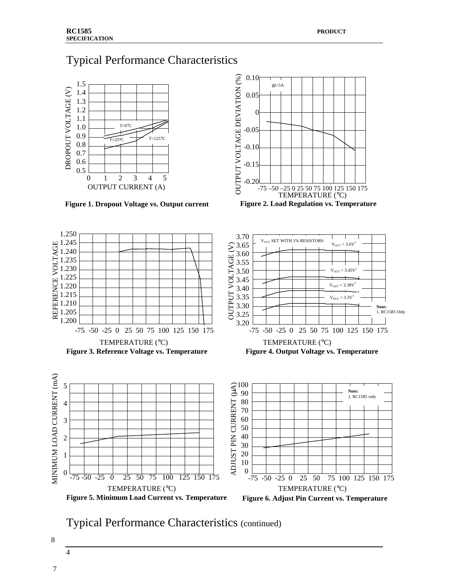### Typical Performance Characteristics



**Figure 1. Dropout Voltage vs. Output current**







REFERENCE VOLTAGE

1.250 1.245 1.240 1.235 1.230 1.225 1.220 1.215 1.210 1.205 1.200

4

4

**AINIMUM LOAD CURRENT (mA)**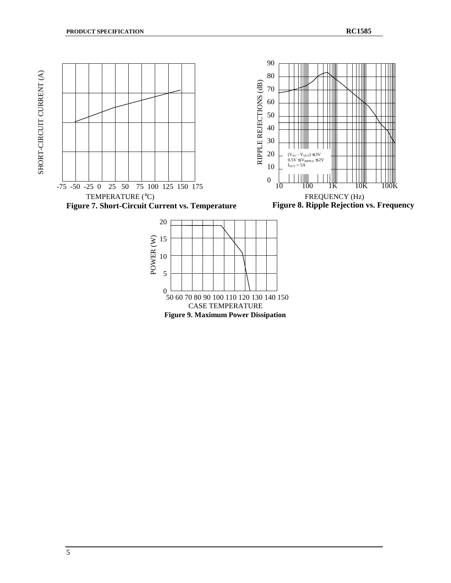

 **Figure 9. Maximum Power Dissipation**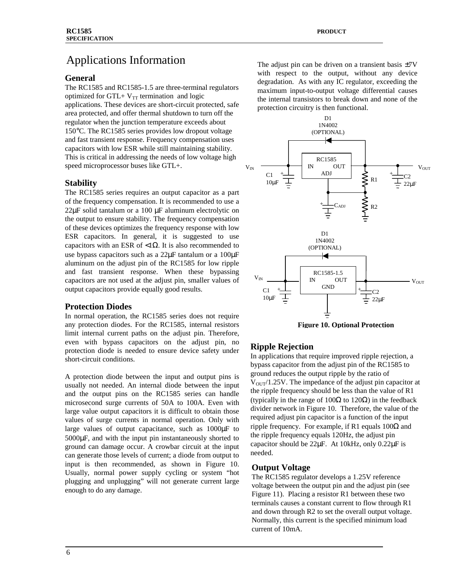### Applications Information

#### **General**

The RC1585 and RC1585-1.5 are three-terminal regulators optimized for GTL+  $V_{TT}$  termination and logic applications. These devices are short-circuit protected, safe area protected, and offer thermal shutdown to turn off the regulator when the junction temperature exceeds about 150°C. The RC1585 series provides low dropout voltage and fast transient response. Frequency compensation uses capacitors with low ESR while still maintaining stability. This is critical in addressing the needs of low voltage high speed microprocessor buses like GTL+.

#### **Stability**

The RC1585 series requires an output capacitor as a part of the frequency compensation. It is recommended to use a 22µF solid tantalum or a 100 µF aluminum electrolytic on the output to ensure stability. The frequency compensation of these devices optimizes the frequency response with low ESR capacitors. In general, it is suggested to use capacitors with an ESR of <1Ω. It is also recommended to use bypass capacitors such as a 22µF tantalum or a 100µF aluminum on the adjust pin of the RC1585 for low ripple and fast transient response. When these bypassing capacitors are not used at the adjust pin, smaller values of output capacitors provide equally good results.

#### **Protection Diodes**

In normal operation, the RC1585 series does not require any protection diodes. For the RC1585, internal resistors limit internal current paths on the adjust pin. Therefore, even with bypass capacitors on the adjust pin, no protection diode is needed to ensure device safety under short-circuit conditions.

A protection diode between the input and output pins is usually not needed. An internal diode between the input and the output pins on the RC1585 series can handle microsecond surge currents of 50A to 100A. Even with large value output capacitors it is difficult to obtain those values of surge currents in normal operation. Only with large values of output capacitance, such as 1000µF to 5000µF, and with the input pin instantaneously shorted to ground can damage occur. A crowbar circuit at the input can generate those levels of current; a diode from output to input is then recommended, as shown in Figure 10. Usually, normal power supply cycling or system "hot plugging and unplugging" will not generate current large enough to do any damage.

The adjust pin can be driven on a transient basis  $\pm$ 7V with respect to the output, without any device degradation. As with any IC regulator, exceeding the maximum input-to-output voltage differential causes the internal transistors to break down and none of the protection circuitry is then functional.



**Figure 10. Optional Protection**

#### **Ripple Rejection**

In applications that require improved ripple rejection, a bypass capacitor from the adjust pin of the RC1585 to ground reduces the output ripple by the ratio of  $V_{\text{OUT}}/1.25V$ . The impedance of the adjust pin capacitor at the ripple frequency should be less than the value of R1 (typically in the range of 100Ω to 120Ω) in the feedback divider network in Figure 10. Therefore, the value of the required adjust pin capacitor is a function of the input ripple frequency. For example, if R1 equals 100Ω and the ripple frequency equals 120Hz, the adjust pin capacitor should be 22µF. At 10kHz, only 0.22µF is needed.

#### **Output Voltage**

The RC1585 regulator develops a 1.25V reference voltage between the output pin and the adjust pin (see Figure 11). Placing a resistor R1 between these two terminals causes a constant current to flow through R1 and down through R2 to set the overall output voltage. Normally, this current is the specified minimum load current of 10mA.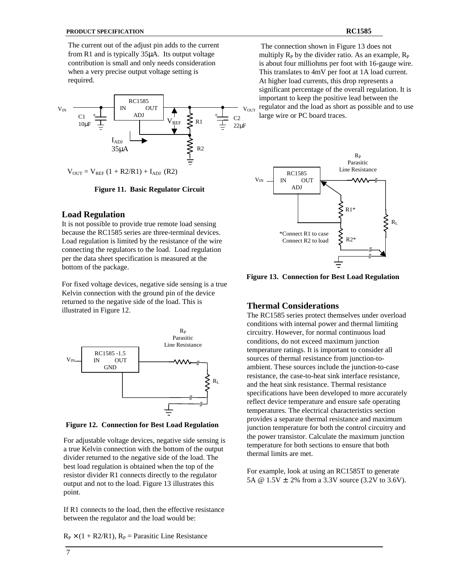The current out of the adjust pin adds to the current from R1 and is typically 35µA. Its output voltage contribution is small and only needs consideration when a very precise output voltage setting is required.



**Figure 11. Basic Regulator Circuit**

#### **Load Regulation**

It is not possible to provide true remote load sensing because the RC1585 series are three-terminal devices. Load regulation is limited by the resistance of the wire connecting the regulators to the load. Load regulation per the data sheet specification is measured at the bottom of the package.

For fixed voltage devices, negative side sensing is a true Kelvin connection with the ground pin of the device returned to the negative side of the load. This is illustrated in Figure 12.



**Figure 12. Connection for Best Load Regulation**

For adjustable voltage devices, negative side sensing is a true Kelvin connection with the bottom of the output divider returned to the negative side of the load. The best load regulation is obtained when the top of the resistor divider R1 connects directly to the regulator output and not to the load. Figure 13 illustrates this point.

If R1 connects to the load, then the effective resistance between the regulator and the load would be:

 $R_P \times (1 + R2/R1)$ ,  $R_P =$  Parasitic Line Resistance

 The connection shown in Figure 13 does not multiply  $R_P$  by the divider ratio. As an example,  $R_P$ is about four milliohms per foot with 16-gauge wire. This translates to 4mV per foot at 1A load current. At higher load currents, this drop represents a significant percentage of the overall regulation. It is important to keep the positive lead between the regulator and the load as short as possible and to use large wire or PC board traces.



**Figure 13. Connection for Best Load Regulation**

#### **Thermal Considerations**

The RC1585 series protect themselves under overload conditions with internal power and thermal limiting circuitry. However, for normal continuous load conditions, do not exceed maximum junction temperature ratings. It is important to consider all sources of thermal resistance from junction-toambient. These sources include the junction-to-case resistance, the case-to-heat sink interface resistance, and the heat sink resistance. Thermal resistance specifications have been developed to more accurately reflect device temperature and ensure safe operating temperatures. The electrical characteristics section provides a separate thermal resistance and maximum junction temperature for both the control circuitry and the power transistor. Calculate the maximum junction temperature for both sections to ensure that both thermal limits are met.

For example, look at using an RC1585T to generate 5A @ 1.5V ± 2% from a 3.3V source (3.2V to 3.6V).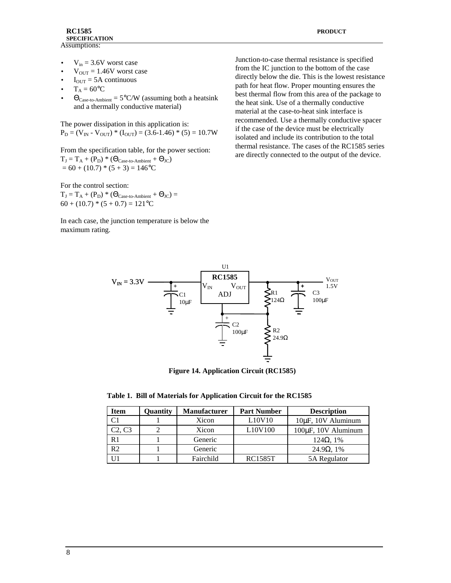- $V_{in}$  = 3.6V worst case
- $V_{\text{OUT}} = 1.46V$  worst case
- $I_{OUT} = 5A$  continuous
- $T_A = 60$ °C
- $\Theta_{\text{Case-to-Ambient}} = 5^{\circ}\text{C/W}$  (assuming both a heatsink and a thermally conductive material)

The power dissipation in this application is:  $P_D = (V_{IN} - V_{OUT}) * (I_{OUT}) = (3.6-1.46) * (5) = 10.7W$ 

From the specification table, for the power section:  $T_J = T_A + (P_D) * (\Theta_{Case-to-Ambient} + \Theta_{JC})$  $= 60 + (10.7) * (5 + 3) = 146$ °C

For the control section:

 $T_J = T_A + (P_D) * (\Theta_{Case-to-Ambient} + \Theta_{JC}) =$  $60 + (10.7) * (5 + 0.7) = 121$ °C

In each case, the junction temperature is below the maximum rating.

Junction-to-case thermal resistance is specified from the IC junction to the bottom of the case directly below the die. This is the lowest resistance path for heat flow. Proper mounting ensures the best thermal flow from this area of the package to the heat sink. Use of a thermally conductive material at the case-to-heat sink interface is recommended. Use a thermally conductive spacer if the case of the device must be electrically isolated and include its contribution to the total thermal resistance. The cases of the RC1585 series are directly connected to the output of the device.



**Figure 14. Application Circuit (RC1585)**

**Table 1. Bill of Materials for Application Circuit for the RC1585**

| <b>Item</b>    | Quantity | <b>Manufacturer</b> | <b>Part Number</b>               | <b>Description</b>              |
|----------------|----------|---------------------|----------------------------------|---------------------------------|
| C1             |          | Xicon               | L10V10                           | 10 <sub>uF</sub> , 10V Aluminum |
| C2, C3         |          | Xicon               | L <sub>10</sub> V <sub>100</sub> | 100µF, 10V Aluminum             |
| R1             |          | Generic             |                                  | $124\Omega, 1%$                 |
| R <sub>2</sub> |          | Generic             |                                  | $24.9\Omega$ , 1%               |
|                |          | Fairchild           | <b>RC1585T</b>                   | 5A Regulator                    |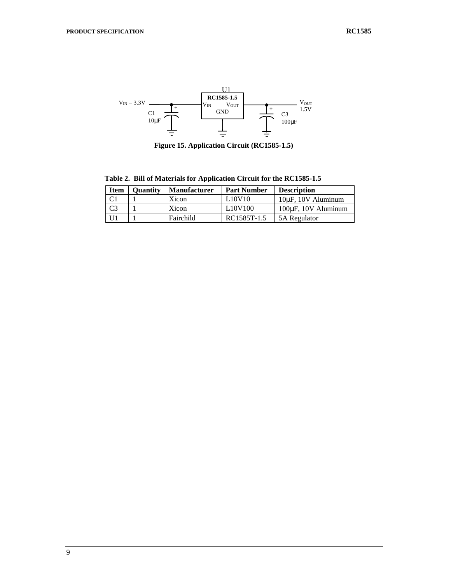

**Figure 15. Application Circuit (RC1585-1.5)**

**Table 2. Bill of Materials for Application Circuit for the RC1585-1.5**

| <b>Item</b>    | <b>Ouantity</b> | <b>Manufacturer</b> | <b>Part Number</b>               | <b>Description</b>               |
|----------------|-----------------|---------------------|----------------------------------|----------------------------------|
|                |                 | Xicon               | L10V10                           | 10 <sub>uF</sub> , 10V Aluminum  |
| C <sub>3</sub> |                 | Xicon               | L <sub>10</sub> V <sub>100</sub> | 100 <sub>uF</sub> , 10V Aluminum |
|                |                 | Fairchild           | RC1585T-1.5                      | 5A Regulator                     |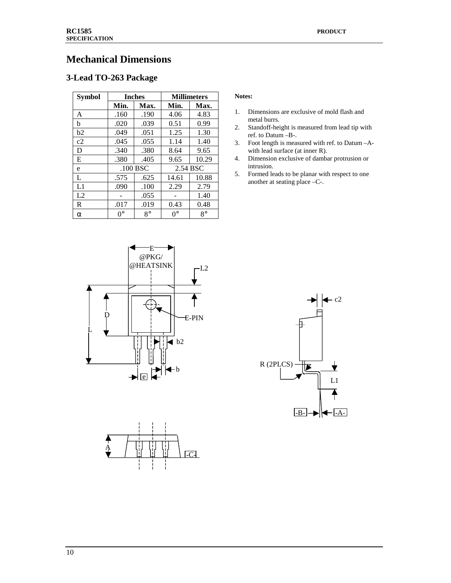### **Mechanical Dimensions**

#### **3-Lead TO-263 Package**

| <b>Symbol</b> | <b>Inches</b> |             | <b>Millimeters</b> |             |
|---------------|---------------|-------------|--------------------|-------------|
|               | Min.          | Max.        | Min.               | Max.        |
| A             | .160          | .190        | 4.06               | 4.83        |
| b             | .020          | .039        | 0.51               | 0.99        |
| b2            | .049          | .051        | 1.25               | 1.30        |
| c2            | .045          | .055        | 1.14               | 1.40        |
| D             | .340          | .380        | 8.64               | 9.65        |
| E             | .380          | .405        | 9.65               | 10.29       |
| e             |               | .100 BSC    | 2.54 BSC           |             |
| L             | .575          | .625        | 14.61              | 10.88       |
| L1            | .090          | .100        | 2.29               | 2.79        |
| L2            |               | .055        |                    | 1.40        |
| R             | .017          | .019        | 0.43               | 0.48        |
| α             | $0^{\circ}$   | $8^{\circ}$ | $0^{\circ}$        | $8^{\circ}$ |

#### **Notes:**

- 1. Dimensions are exclusive of mold flash and metal burrs.
- 2. Standoff-height is measured from lead tip with ref. to Datum –B-.
- 3. Foot length is measured with ref. to Datum –Awith lead surface (at inner R).
- 4. Dimension exclusive of dambar protrusion or intrusion.
- 5. Formed leads to be planar with respect to one another at seating place –C-.





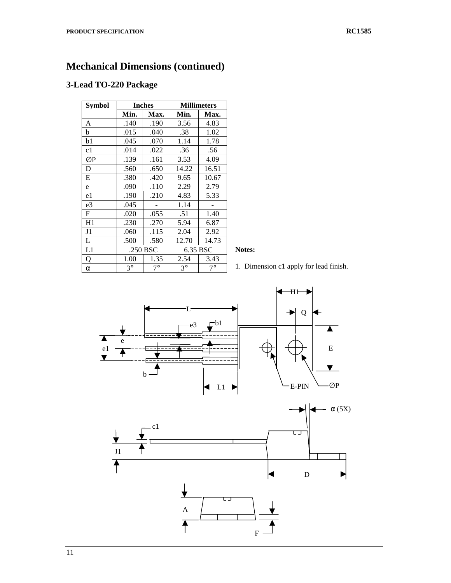## **Mechanical Dimensions (continued)**

### **3-Lead TO-220 Package**

| <b>Symbol</b> | <b>Inches</b> |           | <b>Millimeters</b> |             |
|---------------|---------------|-----------|--------------------|-------------|
|               | Min.          | Max.      | Min.               | Max.        |
| A             | .140          | .190      | 3.56               | 4.83        |
| b             | .015          | .040      | .38                | 1.02        |
| b1            | .045          | .070      | 1.14               | 1.78        |
| c1            | .014          | .022      | .36                | .56         |
| ØΡ            | .139          | .161      | 3.53               | 4.09        |
| D             | .560          | .650      | 14.22              | 16.51       |
| E             | .380          | .420      | 9.65               | 10.67       |
| e             | .090          | .110      | 2.29               | 2.79        |
| e1            | .190          | .210      | 4.83               | 5.33        |
| e3            | .045          |           | 1.14               |             |
| F             | .020          | .055      | .51                | 1.40        |
| H1            | .230          | .270      | 5.94               | 6.87        |
| J1            | .060          | .115      | 2.04               | 2.92        |
| L             | .500          | .580      | 12.70              | 14.73       |
| L1            | .250 BSC      |           |                    | 6.35 BSC    |
| Q             | 1.00          | 1.35      | 2.54               | 3.43        |
| α             | $3^\circ$     | $7^\circ$ | $3^{\circ}$        | $7^{\circ}$ |

**Notes:**

1. Dimension c1 apply for lead finish.